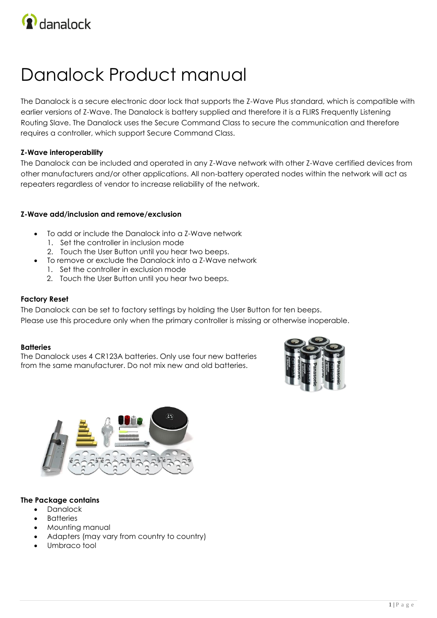

# Danalock Product manual

The Danalock is a secure electronic door lock that supports the Z-Wave Plus standard, which is compatible with earlier versions of Z-Wave. The Danalock is battery supplied and therefore it is a FLIRS Frequently Listening Routing Slave. The Danalock uses the Secure Command Class to secure the communication and therefore requires a controller, which support Secure Command Class.

#### **Z-Wave interoperability**

The Danalock can be included and operated in any Z-Wave network with other Z-Wave certified devices from other manufacturers and/or other applications. All non-battery operated nodes within the network will act as repeaters regardless of vendor to increase reliability of the network.

#### **Z-Wave add/inclusion and remove/exclusion**

- To add or include the Danalock into a Z-Wave network
	- 1. Set the controller in inclusion mode
	- 2. Touch the User Button until you hear two beeps.
- To remove or exclude the Danalock into a Z-Wave network
	- 1. Set the controller in exclusion mode
	- 2. Touch the User Button until you hear two beeps.

#### **Factory Reset**

The Danalock can be set to factory settings by holding the User Button for ten beeps. Please use this procedure only when the primary controller is missing or otherwise inoperable.

#### **Batteries**

The Danalock uses 4 CR123A batteries. Only use four new batteries from the same manufacturer. Do not mix new and old batteries.





#### **The Package contains**

- Danalock
- **Batteries**
- Mounting manual
- Adapters (may vary from country to country)
- Umbraco tool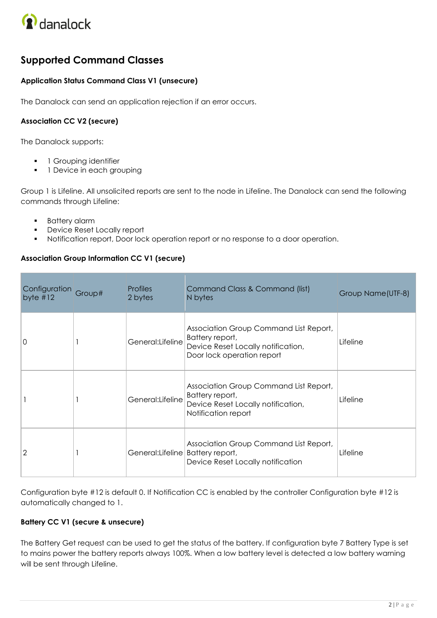

# **Supported Command Classes**

# **Application Status Command Class V1 (unsecure)**

The Danalock can send an application rejection if an error occurs.

# **Association CC V2 (secure)**

The Danalock supports:

- 1 Grouping identifier
- 1 Device in each grouping

Group 1 is Lifeline. All unsolicited reports are sent to the node in Lifeline. The Danalock can send the following commands through Lifeline:

- **Battery alarm**
- **Device Reset Locally report**
- Notification report, Door lock operation report or no response to a door operation.

# **Association Group Information CC V1 (secure)**

| Configuration<br>byte $#12$ | Group# | <b>Profiles</b><br>2 bytes          | Command Class & Command (list)<br>N bytes                                                                                     | Group Name(UTF-8) |
|-----------------------------|--------|-------------------------------------|-------------------------------------------------------------------------------------------------------------------------------|-------------------|
| 0                           |        | General:Lifeline                    | Association Group Command List Report,<br>Battery report,<br>Device Reset Locally notification,<br>Door lock operation report | Lifeline          |
|                             |        | General:Lifeline                    | Association Group Command List Report,<br>Battery report,<br>Device Reset Locally notification,<br>Notification report        | Lifeline          |
| 2                           |        | General: Lifeline   Battery report, | Association Group Command List Report,<br>Device Reset Locally notification                                                   | Lifeline          |

Configuration byte #12 is default 0. If Notification CC is enabled by the controller Configuration byte #12 is automatically changed to 1.

# **Battery CC V1 (secure & unsecure)**

The Battery Get request can be used to get the status of the battery. If configuration byte 7 Battery Type is set to mains power the battery reports always 100%. When a low battery level is detected a low battery warning will be sent through Lifeline.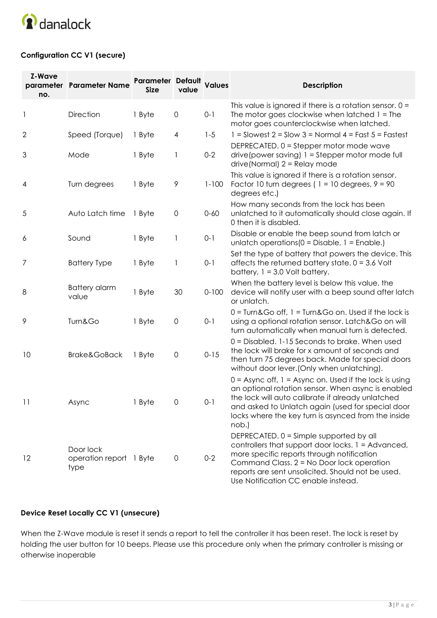

# **Configuration CC V1 (secure)**

| <b>Z-Wave</b><br>no. | parameter Parameter Name                     | Parameter Default Values<br><b>Size</b> | value               |           | <b>Description</b>                                                                                                                                                                                                                                                                         |
|----------------------|----------------------------------------------|-----------------------------------------|---------------------|-----------|--------------------------------------------------------------------------------------------------------------------------------------------------------------------------------------------------------------------------------------------------------------------------------------------|
| $\mathbf{1}$         | Direction                                    | 1 Byte                                  | $\mathsf{O}\xspace$ | $0 - 1$   | This value is ignored if there is a rotation sensor. $0 =$<br>The motor goes clockwise when latched $1 =$ The<br>motor goes counterclockwise when latched.                                                                                                                                 |
| 2                    | Speed (Torque)                               | 1 Byte                                  | $\overline{4}$      | $1 - 5$   | $1 =$ Slowest 2 = Slow 3 = Normal 4 = Fast 5 = Fastest                                                                                                                                                                                                                                     |
| 3                    | Mode                                         | 1 Byte                                  | 1                   | $0 - 2$   | DEPRECATED. 0 = Stepper motor mode wave<br>drive (power saving) $1 =$ Stepper motor mode full<br>$drive$ (Normal) $2 =$ Relay mode                                                                                                                                                         |
| 4                    | Turn degrees                                 | 1 Byte                                  | 9                   | $1 - 100$ | This value is ignored if there is a rotation sensor.<br>Factor 10 turn degrees ( $1 = 10$ degrees, $9 = 90$<br>degrees etc.)                                                                                                                                                               |
| 5                    | Auto Latch time                              | 1 Byte                                  | $\mathsf{O}\xspace$ | $0 - 60$  | How many seconds from the lock has been<br>unlatched to it automatically should close again. If<br>0 then it is disabled.                                                                                                                                                                  |
| 6                    | Sound                                        | 1 Byte                                  | 1                   | $0 - 1$   | Disable or enable the beep sound from latch or<br>unlatch operations $(0 = Distance, 1 = Enable.)$                                                                                                                                                                                         |
| 7                    | <b>Battery Type</b>                          | 1 Byte                                  | 1                   | $0-1$     | Set the type of battery that powers the device. This<br>affects the returned battery state. $0 = 3.6$ Volt<br>battery, $1 = 3.0$ Volt battery.                                                                                                                                             |
| 8                    | <b>Battery alarm</b><br>value                | 1 Byte                                  | 30                  | $0 - 100$ | When the battery level is below this value, the<br>device will notify user with a beep sound after latch<br>or unlatch.                                                                                                                                                                    |
| 9                    | Turn&Go                                      | 1 Byte                                  | $\mathsf{O}\xspace$ | $0-1$     | $0 =$ Turn&Go off, $1 =$ Turn&Go on. Used if the lock is<br>using a optional rotation sensor. Latch&Go on will<br>turn automatically when manual turn is detected.                                                                                                                         |
| 10                   | <b>Brake&amp;GoBack</b>                      | 1 Byte                                  | $\mathsf{O}\xspace$ | $0 - 15$  | 0 = Disabled. 1-15 Seconds to brake. When used<br>the lock will brake for x amount of seconds and<br>then turn 75 degrees back. Made for special doors<br>without door lever. (Only when unlatching).                                                                                      |
| 11                   | Async                                        | 1 Byte                                  | $\mathsf{O}$        | $0 - 1$   | $0 =$ Async off, $1 =$ Async on. Used if the lock is using<br>an optional rotation sensor. When async is enabled<br>the lock will auto calibrate if already unlatched<br>and asked to Unlatch again (used for special door<br>locks where the key turn is asynced from the inside<br>nob.) |
| 12                   | Door lock<br>operation report 1 Byte<br>type |                                         | $\mathbf 0$         | $0 - 2$   | DEPRECATED. 0 = Simple supported by all<br>controllers that support door locks. 1 = Advanced,<br>more specific reports through notification<br>Command Class. 2 = No Door lock operation<br>reports are sent unsolicited. Should not be used.<br>Use Notification CC enable instead.       |

# **Device Reset Locally CC V1 (unsecure)**

When the Z-Wave module is reset it sends a report to tell the controller it has been reset. The lock is reset by holding the user button for 10 beeps. Please use this procedure only when the primary controller is missing or otherwise inoperable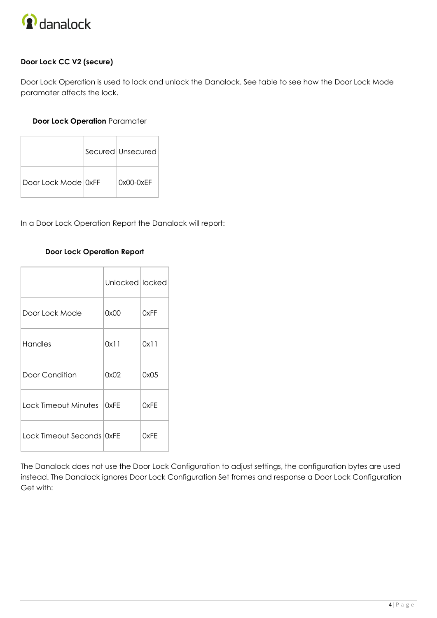

# **Door Lock CC V2 (secure)**

Door Lock Operation is used to lock and unlock the Danalock. See table to see how the Door Lock Mode paramater affects the lock.

## **Door Lock Operation** Paramater

|                     | Secured Unsecured |
|---------------------|-------------------|
| Door Lock Mode OxFF | $0x00-0xEF$       |

In a Door Lock Operation Report the Danalock will report:

#### **Door Lock Operation Report**

|                             | Unlocked locked |      |
|-----------------------------|-----------------|------|
| Door Lock Mode              | 0x00            | 0xFF |
| Handles                     | 0x11            | 0x11 |
| Door Condition              | 0x02            | 0x05 |
| Lock Timeout Minutes   OxFE |                 | 0xFE |
| Lock Timeout Seconds OxFE   |                 | 0xFF |

The Danalock does not use the Door Lock Configuration to adjust settings, the configuration bytes are used instead. The Danalock ignores Door Lock Configuration Set frames and response a Door Lock Configuration Get with: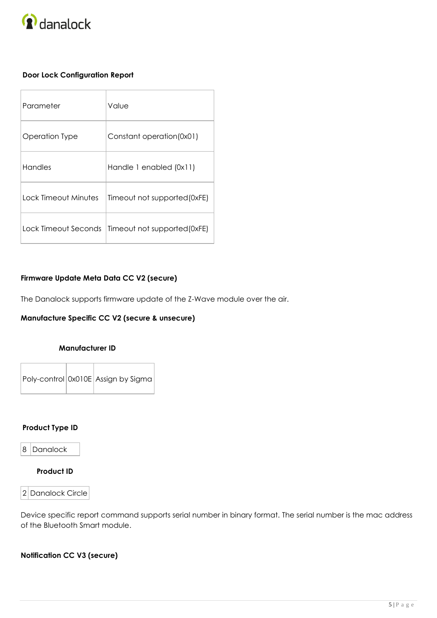

# **Door Lock Configuration Report**

| Parameter            | Value                        |
|----------------------|------------------------------|
| Operation Type       | Constant operation(0x01)     |
| Handles              | Handle 1 enabled (0x11)      |
| Lock Timeout Minutes | Timeout not supported (0xFE) |
| Lock Timeout Seconds | Timeout not supported(0xFE)  |

#### **Firmware Update Meta Data CC V2 (secure)**

The Danalock supports firmware update of the Z-Wave module over the air.

# **Manufacture Specific CC V2 (secure & unsecure)**

#### **Manufacturer ID**

Poly-control 0x010E Assign by Sigma

#### **Product Type ID**

8 Danalock

# **Product ID**

#### 2 Danalock Circle

Device specific report command supports serial number in binary format. The serial number is the mac address of the Bluetooth Smart module.

## **Notification CC V3 (secure)**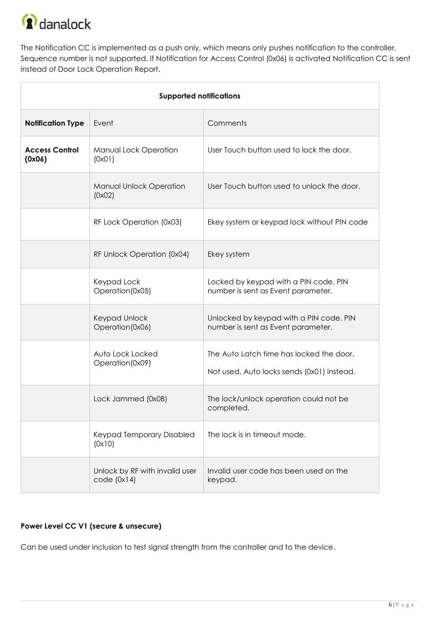

The Notification CC is implemented as a push only, which means only pushes notification to the controller. Sequence number is not supported. If Notification for Access Control (0x06) is activated Notification CC is sent instead of Door Lock Operation Report.

| <b>Supported notifications</b>  |                                              |                                                                                        |  |  |
|---------------------------------|----------------------------------------------|----------------------------------------------------------------------------------------|--|--|
| <b>Notification Type</b>        | Event                                        | Comments                                                                               |  |  |
| <b>Access Control</b><br>(0x06) | Manual Lock Operation<br>(0x01)              | User Touch button used to lock the door.                                               |  |  |
|                                 | Manual Unlock Operation<br>(0x02)            | User Touch button used to unlock the door.                                             |  |  |
|                                 | RF Lock Operation (0x03)                     | Ekey system or keypad lock without PIN code                                            |  |  |
|                                 | RF Unlock Operation (0x04)                   | Ekey system                                                                            |  |  |
|                                 | Keypad Lock<br>Operation(0x05)               | Locked by keypad with a PIN code. PIN<br>number is sent as Event parameter.            |  |  |
|                                 | Keypad Unlock<br>Operation(0x06)             | Unlocked by keypad with a PIN code. PIN<br>number is sent as Event parameter.          |  |  |
|                                 | Auto Lock Locked<br>Operation(0x09)          | The Auto Latch time has locked the door.<br>Not used. Auto locks sends (0x01) instead. |  |  |
|                                 | Lock Jammed (0x0B)                           | The lock/unlock operation could not be<br>completed.                                   |  |  |
|                                 | Keypad Temporary Disabled<br>(0x10)          | The lock is in timeout mode.                                                           |  |  |
|                                 | Unlock by RF with invalid user<br>code(0x14) | Invalid user code has been used on the<br>keypad.                                      |  |  |

# **Power Level CC V1 (secure & unsecure)**

Can be used under inclusion to test signal strength from the controller and to the device.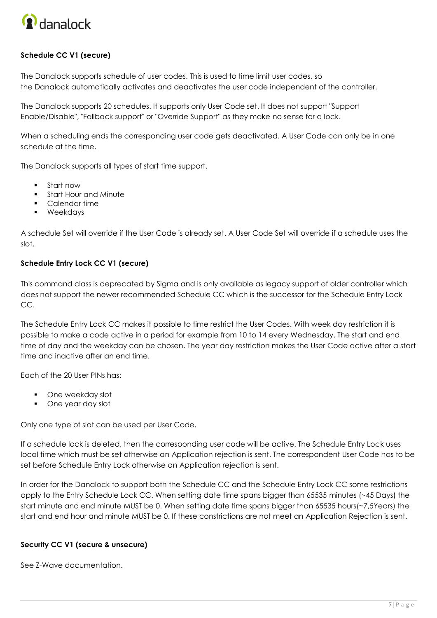

# **Schedule CC V1 (secure)**

The Danalock supports schedule of user codes. This is used to time limit user codes, so the Danalock automatically activates and deactivates the user code independent of the controller.

The Danalock supports 20 schedules. It supports only User Code set. It does not support "Support Enable/Disable", "Fallback support" or "Override Support" as they make no sense for a lock.

When a scheduling ends the corresponding user code gets deactivated. A User Code can only be in one schedule at the time.

The Danalock supports all types of start time support.

- Start now
- **Start Hour and Minute**
- Calendar time
- Weekdays

A schedule Set will override if the User Code is already set. A User Code Set will override if a schedule uses the slot.

#### **Schedule Entry Lock CC V1 (secure)**

This command class is deprecated by Sigma and is only available as legacy support of older controller which does not support the newer recommended Schedule CC which is the successor for the Schedule Entry Lock CC.

The Schedule Entry Lock CC makes it possible to time restrict the User Codes. With week day restriction it is possible to make a code active in a period for example from 10 to 14 every Wednesday. The start and end time of day and the weekday can be chosen. The year day restriction makes the User Code active after a start time and inactive after an end time.

Each of the 20 User PINs has:

- One weekday slot
- One year day slot

Only one type of slot can be used per User Code.

If a schedule lock is deleted, then the corresponding user code will be active. The Schedule Entry Lock uses local time which must be set otherwise an Application rejection is sent. The correspondent User Code has to be set before Schedule Entry Lock otherwise an Application rejection is sent.

In order for the Danalock to support both the Schedule CC and the Schedule Entry Lock CC some restrictions apply to the Entry Schedule Lock CC. When setting date time spans bigger than 65535 minutes (~45 Days) the start minute and end minute MUST be 0. When setting date time spans bigger than 65535 hours(~7,5Years) the start and end hour and minute MUST be 0. If these constrictions are not meet an Application Rejection is sent.

#### **Security CC V1 (secure & unsecure)**

See Z-Wave documentation.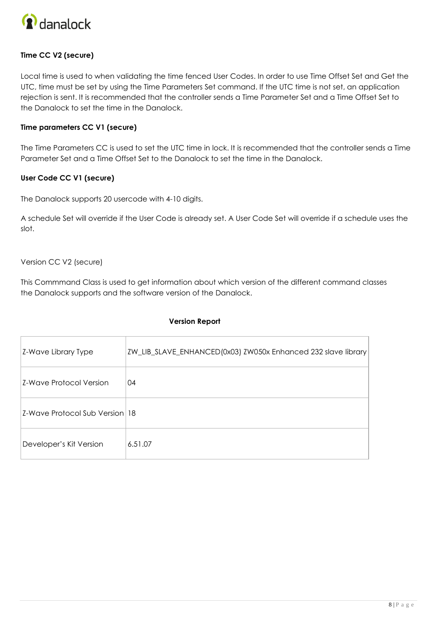

# **Time CC V2 (secure)**

Local time is used to when validating the time fenced User Codes. In order to use Time Offset Set and Get the UTC, time must be set by using the Time Parameters Set command. If the UTC time is not set, an application rejection is sent. It is recommended that the controller sends a Time Parameter Set and a Time Offset Set to the Danalock to set the time in the Danalock.

#### **Time parameters CC V1 (secure)**

The Time Parameters CC is used to set the UTC time in lock. It is recommended that the controller sends a Time Parameter Set and a Time Offset Set to the Danalock to set the time in the Danalock.

#### **User Code CC V1 (secure)**

The Danalock supports 20 usercode with 4-10 digits.

A schedule Set will override if the User Code is already set. A User Code Set will override if a schedule uses the slot.

Version CC V2 (secure)

This Commmand Class is used to get information about which version of the different command classes the Danalock supports and the software version of the Danalock.

#### **Version Report**

| Z-Wave Library Type            | ZW_LIB_SLAVE_ENHANCED(0x03) ZW050x Enhanced 232 slave library |
|--------------------------------|---------------------------------------------------------------|
| Z-Wave Protocol Version        | 04                                                            |
| Z-Wave Protocol Sub Version 18 |                                                               |
| Developer's Kit Version        | 6.51.07                                                       |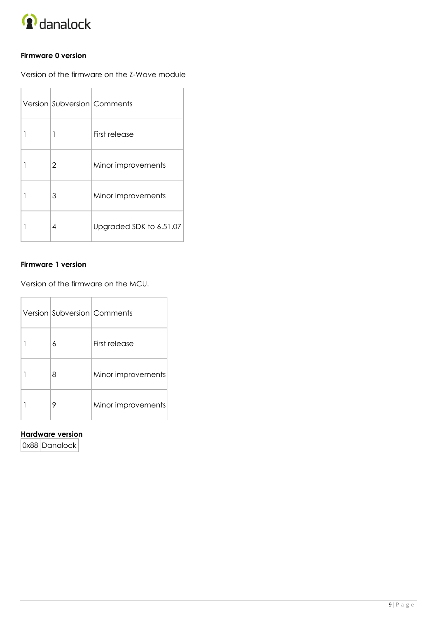

## **Firmware 0 version**

Version of the firmware on the Z-Wave module

|   |                | Version Subversion Comments |
|---|----------------|-----------------------------|
|   | 1              | First release               |
|   | $\overline{2}$ | Minor improvements          |
| 1 | 3              | Minor improvements          |
|   | 4              | Upgraded SDK to 6.51.07     |

#### **Firmware 1 version**

Version of the firmware on the MCU.

| Version Subversion Comments |                    |
|-----------------------------|--------------------|
| 6                           | First release      |
| 8                           | Minor improvements |
| 9                           | Minor improvements |

#### **Hardware version**

0x88 Danalock